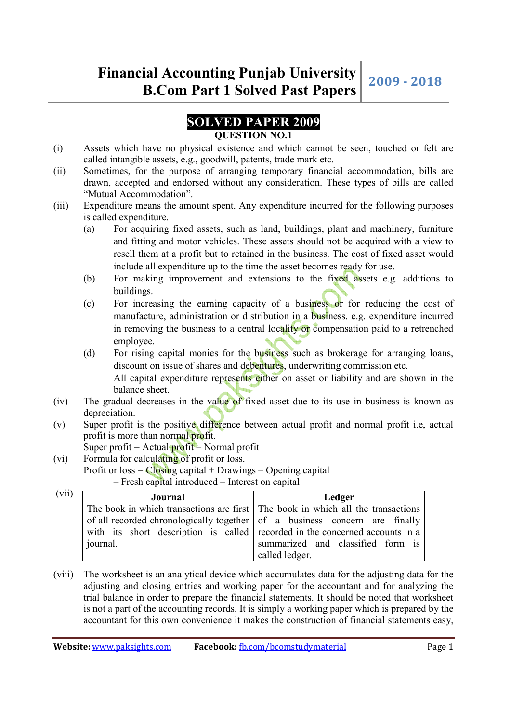## **SOLVED PAPER 2009 QUESTION NO.1**

- (i) Assets which have no physical existence and which cannot be seen, touched or felt are called intangible assets, e.g., goodwill, patents, trade mark etc.
- (ii) Sometimes, for the purpose of arranging temporary financial accommodation, bills are drawn, accepted and endorsed without any consideration. These types of bills are called "Mutual Accommodation".
- (iii) Expenditure means the amount spent. Any expenditure incurred for the following purposes is called expenditure.
	- (a) For acquiring fixed assets, such as land, buildings, plant and machinery, furniture and fitting and motor vehicles. These assets should not be acquired with a view to resell them at a profit but to retained in the business. The cost of fixed asset would include all expenditure up to the time the asset becomes ready for use.
	- (b) For making improvement and extensions to the fixed assets e.g. additions to buildings.
	- (c) For increasing the earning capacity of a business or for reducing the cost of manufacture, administration or distribution in a business. e.g. expenditure incurred in removing the business to a central locality or compensation paid to a retrenched employee.
	- (d) For rising capital monies for the business such as brokerage for arranging loans, discount on issue of shares and debentures, underwriting commission etc.

All capital expenditure represents either on asset or liability and are shown in the balance sheet.

- (iv) The gradual decreases in the value of fixed asset due to its use in business is known as depreciation.
- (v) Super profit is the positive difference between actual profit and normal profit i.e, actual profit is more than normal profit.

Super profit =  $Actual$  profit – Normal profit

(vi) Formula for calculating of profit or loss. Profit or  $loss = Closing$  capital + Drawings – Opening capital – Fresh capital introduced – Interest on capital

| (vii) | Journal                                                                         | Ledger                                                                     |
|-------|---------------------------------------------------------------------------------|----------------------------------------------------------------------------|
|       | The book in which transactions are first The book in which all the transactions |                                                                            |
|       |                                                                                 | of all recorded chronologically together of a business concern are finally |
|       | with its short description is called recorded in the concerned accounts in a    |                                                                            |
|       | journal.                                                                        | summarized and classified form is                                          |
|       |                                                                                 | called ledger.                                                             |

(viii) The worksheet is an analytical device which accumulates data for the adjusting data for the adjusting and closing entries and working paper for the accountant and for analyzing the trial balance in order to prepare the financial statements. It should be noted that worksheet is not a part of the accounting records. It is simply a working paper which is prepared by the accountant for this own convenience it makes the construction of financial statements easy,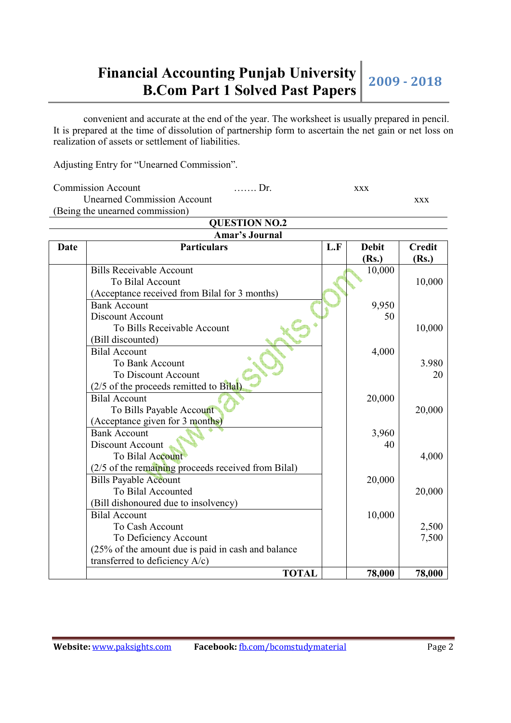convenient and accurate at the end of the year. The worksheet is usually prepared in pencil. It is prepared at the time of dissolution of partnership form to ascertain the net gain or net loss on realization of assets or settlement of liabilities.

Adjusting Entry for "Unearned Commission".

| Commission Account                 | ……… Dr. | XXX |     |
|------------------------------------|---------|-----|-----|
| <b>Unearned Commission Account</b> |         |     | XXX |
| (Being the unearned commission)    |         |     |     |

|      | <b>QUESTION NO.2</b>                                |     |              |               |
|------|-----------------------------------------------------|-----|--------------|---------------|
|      | <b>Amar's Journal</b>                               |     |              |               |
| Date | <b>Particulars</b>                                  | L.F | <b>Debit</b> | <b>Credit</b> |
|      |                                                     |     | (Rs.)        | (Rs.)         |
|      | <b>Bills Receivable Account</b>                     |     | 10,000       |               |
|      | To Bilal Account                                    |     |              | 10,000        |
|      | (Acceptance received from Bilal for 3 months)       |     |              |               |
|      | <b>Bank Account</b>                                 |     | 9,950        |               |
|      | Discount Account                                    |     | 50           |               |
|      | To Bills Receivable Account                         |     |              | 10,000        |
|      | (Bill discounted)                                   |     |              |               |
|      | <b>Bilal Account</b>                                |     | 4,000        |               |
|      | <b>To Bank Account</b>                              |     |              | 3.980         |
|      | To Discount Account                                 |     |              | 20            |
|      | (2/5 of the proceeds remitted to Bilal)             |     |              |               |
|      | <b>Bilal Account</b>                                |     | 20,000       |               |
|      | To Bills Payable Account                            |     |              | 20,000        |
|      | (Acceptance given for 3 months)                     |     |              |               |
|      | <b>Bank Account</b>                                 |     | 3,960        |               |
|      | Discount Account                                    |     | 40           |               |
|      | To Bilal Account                                    |     |              | 4,000         |
|      | (2/5 of the remaining proceeds received from Bilal) |     |              |               |
|      | <b>Bills Payable Account</b>                        |     | 20,000       |               |
|      | To Bilal Accounted                                  |     |              | 20,000        |
|      | (Bill dishonoured due to insolvency)                |     |              |               |
|      | <b>Bilal Account</b>                                |     | 10,000       |               |
|      | To Cash Account                                     |     |              | 2,500         |
|      | To Deficiency Account                               |     |              | 7,500         |
|      | (25% of the amount due is paid in cash and balance  |     |              |               |
|      | transferred to deficiency A/c)                      |     |              |               |
|      | <b>TOTAL</b>                                        |     | 78,000       | 78,000        |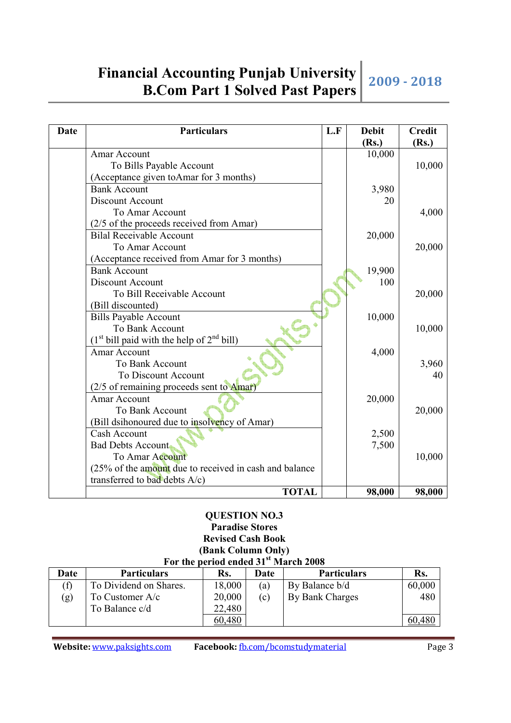| Date | <b>Particulars</b>                                                | L.F | <b>Debit</b><br>(Rs.) | <b>Credit</b><br>(Rs.) |
|------|-------------------------------------------------------------------|-----|-----------------------|------------------------|
|      | Amar Account                                                      |     | 10,000                |                        |
|      | To Bills Payable Account                                          |     |                       | 10,000                 |
|      | (Acceptance given toAmar for 3 months)                            |     |                       |                        |
|      | <b>Bank Account</b>                                               |     | 3,980                 |                        |
|      | Discount Account                                                  |     | 20                    |                        |
|      | To Amar Account                                                   |     |                       | 4,000                  |
|      | (2/5 of the proceeds received from Amar)                          |     |                       |                        |
|      | <b>Bilal Receivable Account</b>                                   |     | 20,000                |                        |
|      | To Amar Account                                                   |     |                       | 20,000                 |
|      | (Acceptance received from Amar for 3 months)                      |     |                       |                        |
|      | <b>Bank Account</b>                                               |     | 19,900                |                        |
|      | Discount Account                                                  |     | 100                   |                        |
|      | To Bill Receivable Account                                        |     |                       | 20,000                 |
|      | (Bill discounted)                                                 |     |                       |                        |
|      | <b>Bills Payable Account</b>                                      |     | 10,000                |                        |
|      | To Bank Account                                                   |     |                       | 10,000                 |
|      | (1 <sup>st</sup> bill paid with the help of 2 <sup>nd</sup> bill) |     |                       |                        |
|      | <b>Amar Account</b>                                               |     | 4,000                 |                        |
|      | To Bank Account                                                   |     |                       | 3,960                  |
|      | To Discount Account                                               |     |                       | 40                     |
|      | (2/5 of remaining proceeds sent to Amar)                          |     |                       |                        |
|      | Amar Account                                                      |     | 20,000                |                        |
|      | To Bank Account                                                   |     |                       | 20,000                 |
|      | (Bill dsihonoured due to insolvency of Amar)                      |     |                       |                        |
|      | Cash Account                                                      |     | 2,500                 |                        |
|      | <b>Bad Debts Account</b>                                          |     | 7,500                 |                        |
|      | To Amar Account                                                   |     |                       | 10,000                 |
|      | (25% of the amount due to received in cash and balance            |     |                       |                        |
|      | transferred to bad debts A/c)                                     |     |                       |                        |
|      | <b>TOTAL</b>                                                      |     | 98,000                | 98,000                 |

## **QUESTION NO.3 Paradise Stores Revised Cash Book**

### **(Bank Column Only) For the period ended 31st March 2008**

| Date | <b>Particulars</b>     | Rs.    | Date              | <b>Particulars</b> | Rs.    |
|------|------------------------|--------|-------------------|--------------------|--------|
|      | To Dividend on Shares. | 18,000 | 'a)               | By Balance b/d     | 60,000 |
| (g)  | To Customer $A/c$      | 20,000 | $\left( 0\right)$ | By Bank Charges    | 480    |
|      | To Balance c/d         | 22,480 |                   |                    |        |
|      |                        | 60,480 |                   |                    | 60.    |

**Website:** www.paksights.com **Facebook:** fb.com/bcomstudymaterial Page 3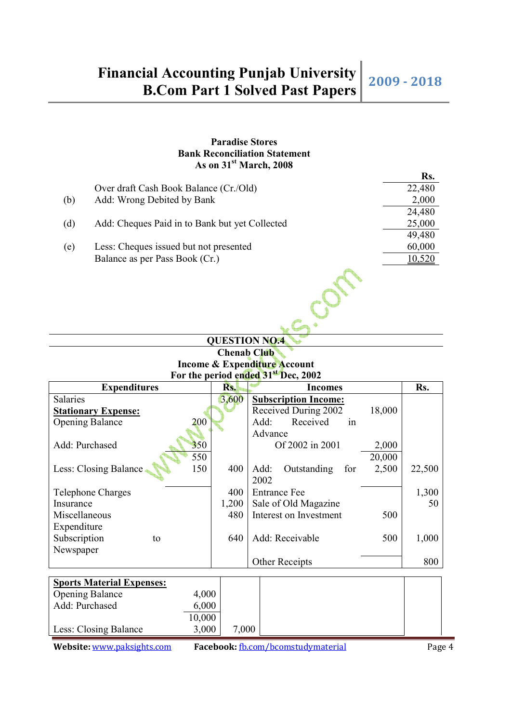## **Paradise Stores Bank Reconciliation Statement As on 31st March, 2008**

|     |                                                | Rs.    |
|-----|------------------------------------------------|--------|
|     | Over draft Cash Book Balance (Cr./Old)         | 22,480 |
| (b) | Add: Wrong Debited by Bank                     | 2,000  |
|     |                                                | 24,480 |
| (d) | Add: Cheques Paid in to Bank but yet Collected | 25,000 |
|     |                                                | 49,480 |
| (e) | Less: Cheques issued but not presented         | 60,000 |
|     | Balance as per Pass Book (Cr.)                 | 10,520 |
|     |                                                |        |

## **QUESTION NO.4 Chenab Club Income & Expenditure Account For the period ended 31st Dec, 2002**

| <b>Expenditures</b>              | Rs.   | <b>Incomes</b>                      | Rs.    |
|----------------------------------|-------|-------------------------------------|--------|
| <b>Salaries</b>                  | 3,600 | <b>Subscription Income:</b>         |        |
| <b>Stationary Expense:</b>       |       | Received During 2002<br>18,000      |        |
| 200<br><b>Opening Balance</b>    |       | Received<br>Add:<br>in              |        |
|                                  |       | Advance                             |        |
| Add: Purchased<br>350            |       | Of 2002 in 2001<br>2,000            |        |
| 550                              |       | 20,000                              |        |
| 150<br>Less: Closing Balance     | 400   | 2,500<br>Outstanding<br>Add:<br>for | 22,500 |
|                                  |       | 2002                                |        |
| Telephone Charges                | 400   | <b>Entrance Fee</b>                 | 1,300  |
| Insurance                        | 1,200 | Sale of Old Magazine                | 50     |
| Miscellaneous                    | 480   | Interest on Investment<br>500       |        |
| Expenditure                      |       |                                     |        |
| Subscription<br>to               | 640   | Add: Receivable<br>500              | 1,000  |
| Newspaper                        |       |                                     |        |
|                                  |       | Other Receipts                      | 800    |
|                                  |       |                                     |        |
| <b>Sports Material Expenses:</b> |       |                                     |        |
| <b>Opening Balance</b><br>4,000  |       |                                     |        |
| Add: Purchased<br>6,000          |       |                                     |        |
| 10,000                           |       |                                     |        |
| 3,000<br>Less: Closing Balance   | 7,000 |                                     |        |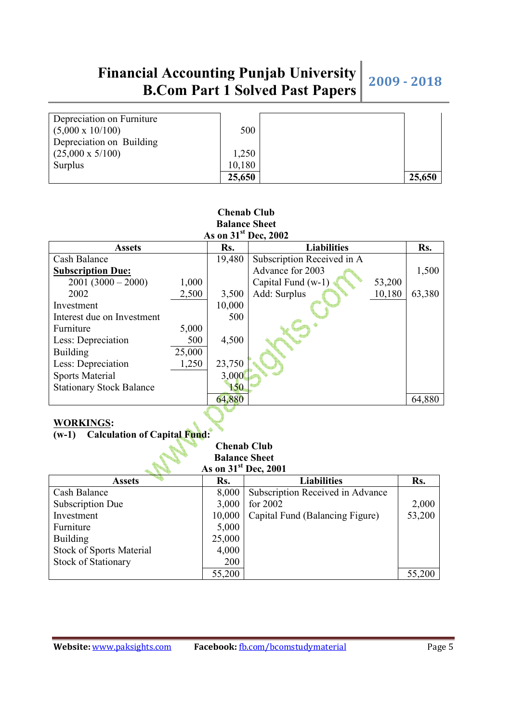| Depreciation on Furniture |        |        |
|---------------------------|--------|--------|
| $(5,000 \times 10/100)$   | 500    |        |
| Depreciation on Building  |        |        |
| $(25,000 \times 5/100)$   | 1,250  |        |
| Surplus                   | 10,180 |        |
|                           | 25,650 | 25,650 |

### **Chenab Club Balance Sheet As on 31st Dec, 2002**

| AS OIL 31<br>Dec, 2002          |        |        |                            |        |        |  |  |  |
|---------------------------------|--------|--------|----------------------------|--------|--------|--|--|--|
| <b>Assets</b>                   |        | Rs.    | <b>Liabilities</b>         |        | Rs.    |  |  |  |
| Cash Balance                    |        | 19,480 | Subscription Received in A |        |        |  |  |  |
| <b>Subscription Due:</b>        |        |        | Advance for 2003           |        | 1,500  |  |  |  |
| $2001(3000-2000)$               | 1,000  |        | Capital Fund (w-1)         | 53,200 |        |  |  |  |
| 2002                            | 2,500  | 3,500  | Add: Surplus               | 10,180 | 63,380 |  |  |  |
| Investment                      |        | 10,000 |                            |        |        |  |  |  |
| Interest due on Investment      |        | 500    |                            |        |        |  |  |  |
| Furniture                       | 5,000  |        |                            |        |        |  |  |  |
| Less: Depreciation              | 500    | 4,500  |                            |        |        |  |  |  |
| <b>Building</b>                 | 25,000 |        |                            |        |        |  |  |  |
| Less: Depreciation              | 1,250  | 23,750 |                            |        |        |  |  |  |
| <b>Sports Material</b>          |        | 3,000  |                            |        |        |  |  |  |
| <b>Stationary Stock Balance</b> |        | 150    |                            |        |        |  |  |  |
|                                 |        | 64,880 |                            |        | 64,880 |  |  |  |

## **WORKINGS:**

## **(w-1) Calculation of Capital Fund:**

### **Chenab Club Balance Sheet**   $\frac{1 \times 1000 \times 10000}{20000000000000000000000000}$

| AS OIL JT<br>DEC, ZUUT          |        |                                  |        |  |  |  |
|---------------------------------|--------|----------------------------------|--------|--|--|--|
| <b>Assets</b>                   | Rs.    | <b>Liabilities</b>               | Rs.    |  |  |  |
| Cash Balance                    | 8,000  | Subscription Received in Advance |        |  |  |  |
| Subscription Due                | 3,000  | for $2002$                       | 2,000  |  |  |  |
| Investment                      | 10,000 | Capital Fund (Balancing Figure)  | 53,200 |  |  |  |
| Furniture                       | 5,000  |                                  |        |  |  |  |
| <b>Building</b>                 | 25,000 |                                  |        |  |  |  |
| <b>Stock of Sports Material</b> | 4,000  |                                  |        |  |  |  |
| <b>Stock of Stationary</b>      | 200    |                                  |        |  |  |  |
|                                 | 55,200 |                                  | 55,200 |  |  |  |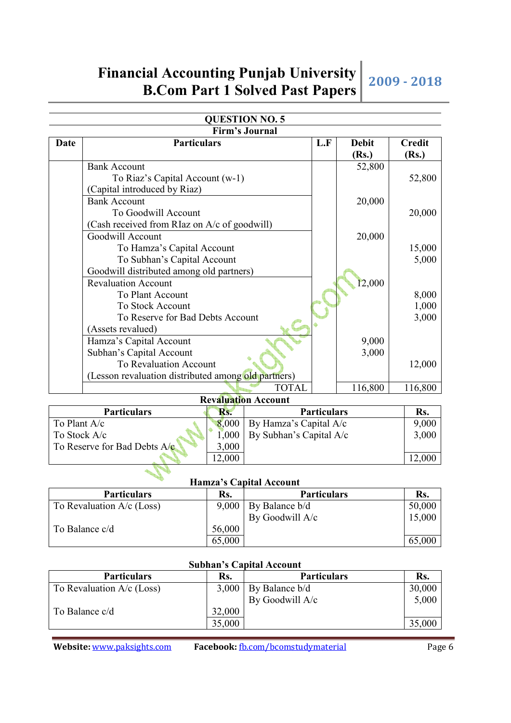|              |                                                     |       | YOLDI IUN NO. J<br><b>Firm's Journal</b> |                    |              |               |
|--------------|-----------------------------------------------------|-------|------------------------------------------|--------------------|--------------|---------------|
| <b>Date</b>  | <b>Particulars</b>                                  |       |                                          | L.F                | <b>Debit</b> | <b>Credit</b> |
|              |                                                     |       |                                          |                    |              |               |
|              | <b>Bank Account</b>                                 |       |                                          |                    | (Rs.)        | (Rs.)         |
|              |                                                     |       |                                          |                    | 52,800       |               |
|              | To Riaz's Capital Account (w-1)                     |       |                                          |                    |              | 52,800        |
|              | (Capital introduced by Riaz)                        |       |                                          |                    |              |               |
|              | <b>Bank Account</b>                                 |       |                                          |                    | 20,000       |               |
|              | To Goodwill Account                                 |       |                                          |                    |              | 20,000        |
|              | (Cash received from RIaz on A/c of goodwill)        |       |                                          |                    |              |               |
|              | Goodwill Account                                    |       |                                          |                    | 20,000       |               |
|              | To Hamza's Capital Account                          |       |                                          |                    |              | 15,000        |
|              | To Subhan's Capital Account                         |       |                                          |                    |              | 5,000         |
|              | Goodwill distributed among old partners)            |       |                                          |                    |              |               |
|              | <b>Revaluation Account</b>                          |       |                                          |                    | 12,000       |               |
|              | To Plant Account                                    |       |                                          |                    |              | 8,000         |
|              | To Stock Account                                    |       |                                          |                    |              | 1,000         |
|              | To Reserve for Bad Debts Account                    |       |                                          |                    |              | 3,000         |
|              | (Assets revalued)                                   |       |                                          |                    |              |               |
|              | Hamza's Capital Account                             |       |                                          |                    | 9,000        |               |
|              | Subhan's Capital Account                            |       |                                          |                    | 3,000        |               |
|              | To Revaluation Account                              |       |                                          |                    |              | 12,000        |
|              | (Lesson revaluation distributed among old partners) |       |                                          |                    |              |               |
|              |                                                     |       | 116,800                                  | 116,800            |              |               |
|              |                                                     |       | <b>Revaluation Account</b>               |                    |              |               |
|              | Particulars                                         | Rs.   |                                          | <b>Particulars</b> |              | Rs.           |
| To Plant A/c |                                                     | 8,000 | By Hamza's Capital A/c                   |                    |              | 9,000         |

## **QUESTION NO. 5**

| <b>Particulars</b>             | Rs.    | <b>Particulars</b>             | Rs.   |
|--------------------------------|--------|--------------------------------|-------|
| To Plant $A/c$                 | 8,000  | $\vert$ By Hamza's Capital A/c | 9,000 |
| To Stock $A/c$                 | 1,000  | By Subhan's Capital $A/c$      | 3,000 |
| To Reserve for Bad Debts $A/e$ | 3,000  |                                |       |
|                                | 12,000 |                                |       |

### **Hamza's Capital Account**

| <b>Particulars</b>          | Rs.    | <b>Particulars</b>         | Rs.    |
|-----------------------------|--------|----------------------------|--------|
| To Revaluation $A/c$ (Loss) |        | $9,000$   By Balance $b/d$ | 50,000 |
|                             |        | By Goodwill A/c            | 15,000 |
| To Balance c/d              | 56,000 |                            |        |
|                             | 65,000 |                            | 65,000 |

### **Subhan's Capital Account**

| <b>Particulars</b>          | Rs.    | <b>Particulars</b> | Rs.    |
|-----------------------------|--------|--------------------|--------|
| To Revaluation $A/c$ (Loss) | 3,000  | By Balance b/d     | 30,000 |
|                             |        | By Goodwill A/c    | 5,000  |
| To Balance c/d              | 32,000 |                    |        |
|                             | 35,000 |                    | 35,000 |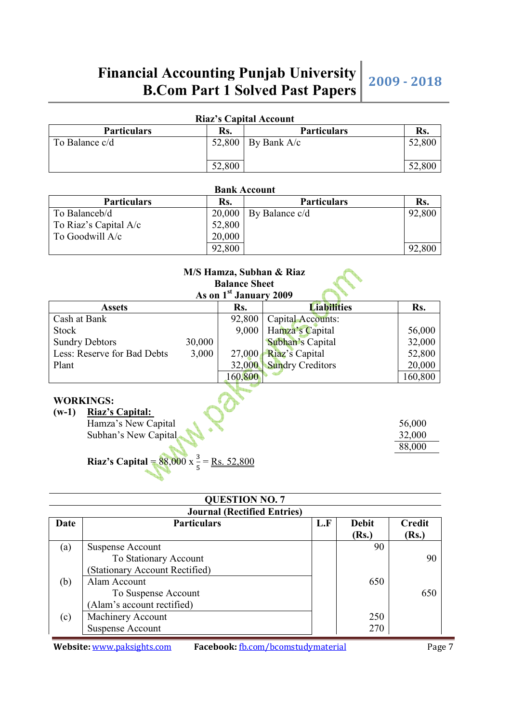| <b>Riaz's Capital Account</b> |        |                      |        |  |  |
|-------------------------------|--------|----------------------|--------|--|--|
| <b>Particulars</b>            | Rs.    | <b>Particulars</b>   |        |  |  |
| To Balance c/d                |        | 52,800   By Bank A/c | 52,800 |  |  |
|                               | 52,800 |                      | 52,800 |  |  |

| <b>Bank Account</b>   |        |                         |        |  |
|-----------------------|--------|-------------------------|--------|--|
| <b>Particulars</b>    | Rs.    | <b>Particulars</b>      | Rs.    |  |
| To Balanceb/d         |        | $20,000$ By Balance c/d | 92,800 |  |
| To Riaz's Capital A/c | 52,800 |                         |        |  |
| To Goodwill A/c       | 20,000 |                         |        |  |
|                       | 92,800 |                         | 92,800 |  |

**Bank Account** 

| M/S Hamza, Subhan & Riaz<br><b>Balance Sheet</b><br>As on 1 <sup>st</sup> January 2009 |        |         |                         |         |  |  |
|----------------------------------------------------------------------------------------|--------|---------|-------------------------|---------|--|--|
| <b>Assets</b>                                                                          |        | Rs.     | <b>Liabilities</b>      | Rs.     |  |  |
| Cash at Bank                                                                           |        | 92,800  | Capital Accounts:       |         |  |  |
| <b>Stock</b>                                                                           |        | 9,000   | Hamza's Capital         | 56,000  |  |  |
| <b>Sundry Debtors</b>                                                                  | 30,000 |         | Subhan's Capital        | 32,000  |  |  |
| Less: Reserve for Bad Debts                                                            | 3,000  | 27,000  | Riaz's Capital          | 52,800  |  |  |
| Plant                                                                                  |        | 32,000  | <b>Sundry Creditors</b> | 20,000  |  |  |
|                                                                                        |        | 160,800 |                         | 160,800 |  |  |
| <b>WORKINGS:</b><br><b>Riaz's Capital:</b><br>$(w-1)$<br>56,000                        |        |         |                         |         |  |  |
| Hamza's New Capital                                                                    |        |         |                         |         |  |  |
| Subhan's New Capital                                                                   |        |         |                         |         |  |  |
|                                                                                        |        |         |                         | 88,000  |  |  |

## **Riaz's Capital** =  $88,000 \times \frac{3}{5} = \underline{Rs}.52,800$

|      | <b>QUESTION NO. 7</b>              |     |              |        |  |  |  |
|------|------------------------------------|-----|--------------|--------|--|--|--|
|      | <b>Journal (Rectified Entries)</b> |     |              |        |  |  |  |
| Date | <b>Particulars</b>                 | L.F | <b>Debit</b> | Credit |  |  |  |
|      |                                    |     | (Rs.)        | (Rs.)  |  |  |  |
| (a)  | Suspense Account                   |     | 90           |        |  |  |  |
|      | To Stationary Account              |     |              | 90     |  |  |  |
|      | (Stationary Account Rectified)     |     |              |        |  |  |  |
| (b)  | Alam Account                       |     | 650          |        |  |  |  |
|      | To Suspense Account                |     |              | 650    |  |  |  |
|      | (Alam's account rectified)         |     |              |        |  |  |  |
| (c)  | Machinery Account                  |     | 250          |        |  |  |  |
|      | <b>Suspense Account</b>            |     | 270          |        |  |  |  |

**Website:** www.paksights.com **Facebook:** fb.com/bcomstudymaterial Page 7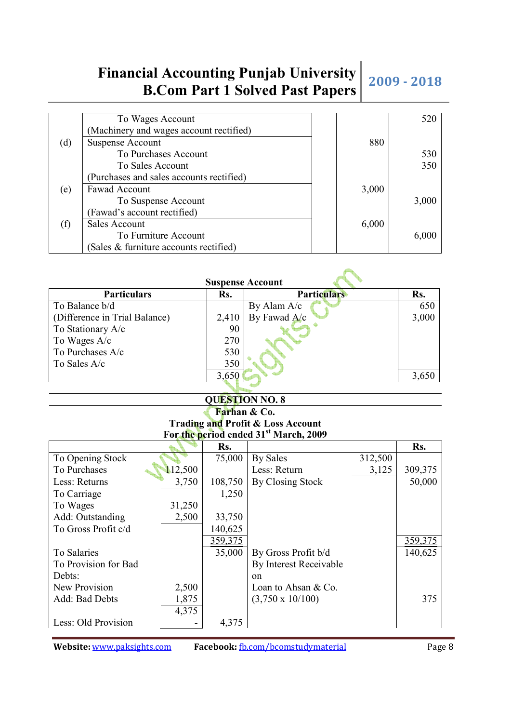**Affilia** 

|     | To Wages Account                         |       | 520   |
|-----|------------------------------------------|-------|-------|
|     | (Machinery and wages account rectified)  |       |       |
| (d) | <b>Suspense Account</b>                  | 880   |       |
|     | To Purchases Account                     |       | 530   |
|     | To Sales Account                         |       | 350   |
|     | (Purchases and sales accounts rectified) |       |       |
| (e) | Fawad Account                            | 3,000 |       |
|     | To Suspense Account                      |       | 3,000 |
|     | (Fawad's account rectified)              |       |       |
| (f) | Sales Account                            | 6,000 |       |
|     | To Furniture Account                     |       | 6,000 |
|     | (Sales & furniture accounts rectified)   |       |       |

| <b>Suspense Account</b>       |       |                    |       |  |  |
|-------------------------------|-------|--------------------|-------|--|--|
| <b>Particulars</b>            | Rs.   | <b>Particulars</b> | Rs.   |  |  |
| To Balance b/d                |       | By Alam A/c        | 650   |  |  |
| (Difference in Trial Balance) | 2,410 | By Fawad A/c       | 3,000 |  |  |
| To Stationary A/c             | 90    |                    |       |  |  |
| To Wages A/c                  | 270   |                    |       |  |  |
| To Purchases A/c              | 530   |                    |       |  |  |
| To Sales A/c                  | 350   |                    |       |  |  |
|                               | 3,650 |                    | 3,650 |  |  |
|                               |       |                    |       |  |  |

## **QUESTION NO. 8**

### **Farhan & Co. Trading and Profit & Loss Account For the period ended 31st March, 2009**

|                      |         | Rs.            |                         |         | Rs.            |
|----------------------|---------|----------------|-------------------------|---------|----------------|
| To Opening Stock     |         | 75,000         | By Sales                | 312,500 |                |
| To Purchases         | 112,500 |                | Less: Return            | 3,125   | 309,375        |
| Less: Returns        | 3,750   | 108,750        | By Closing Stock        |         | 50,000         |
| To Carriage          |         | 1,250          |                         |         |                |
| To Wages             | 31,250  |                |                         |         |                |
| Add: Outstanding     | 2,500   | 33,750         |                         |         |                |
| To Gross Profit c/d  |         | 140,625        |                         |         |                |
|                      |         | <u>359,375</u> |                         |         | <u>359,375</u> |
| To Salaries          |         | 35,000         | By Gross Profit b/d     |         | 140,625        |
| To Provision for Bad |         |                | By Interest Receivable  |         |                |
| Debts:               |         |                | on                      |         |                |
| New Provision        | 2,500   |                | Loan to Ahsan $& Co.$   |         |                |
| Add: Bad Debts       | 1,875   |                | $(3,750 \times 10/100)$ |         | 375            |
|                      | 4,375   |                |                         |         |                |
| Less: Old Provision  |         | 4,375          |                         |         |                |